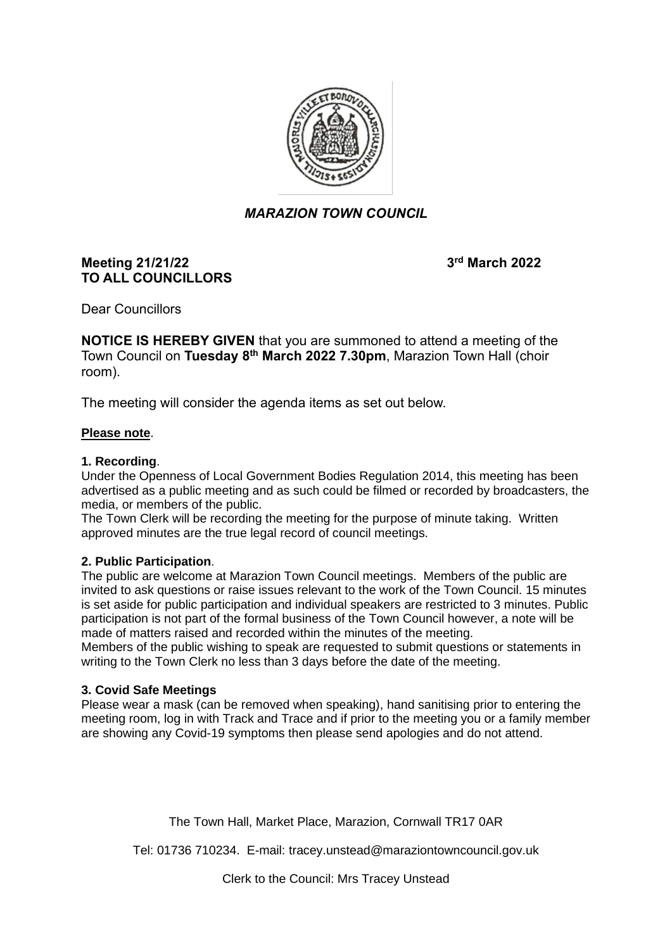

# *MARAZION TOWN COUNCIL*

### **Meeting 21/21/22 3 TO ALL COUNCILLORS**

**rd March 2022**

Dear Councillors

**NOTICE IS HEREBY GIVEN** that you are summoned to attend a meeting of the Town Council on **Tuesday 8 th March 2022 7.30pm**, Marazion Town Hall (choir room).

The meeting will consider the agenda items as set out below.

#### **Please note**.

#### **1. Recording**.

Under the Openness of Local Government Bodies Regulation 2014, this meeting has been advertised as a public meeting and as such could be filmed or recorded by broadcasters, the media, or members of the public.

The Town Clerk will be recording the meeting for the purpose of minute taking. Written approved minutes are the true legal record of council meetings.

#### **2. Public Participation**.

The public are welcome at Marazion Town Council meetings. Members of the public are invited to ask questions or raise issues relevant to the work of the Town Council. 15 minutes is set aside for public participation and individual speakers are restricted to 3 minutes. Public participation is not part of the formal business of the Town Council however, a note will be made of matters raised and recorded within the minutes of the meeting.

Members of the public wishing to speak are requested to submit questions or statements in writing to the Town Clerk no less than 3 days before the date of the meeting.

#### **3. Covid Safe Meetings**

Please wear a mask (can be removed when speaking), hand sanitising prior to entering the meeting room, log in with Track and Trace and if prior to the meeting you or a family member are showing any Covid-19 symptoms then please send apologies and do not attend.

The Town Hall, Market Place, Marazion, Cornwall TR17 0AR

Tel: 01736 710234. E-mail: tracey.unstead@maraziontowncouncil.gov.uk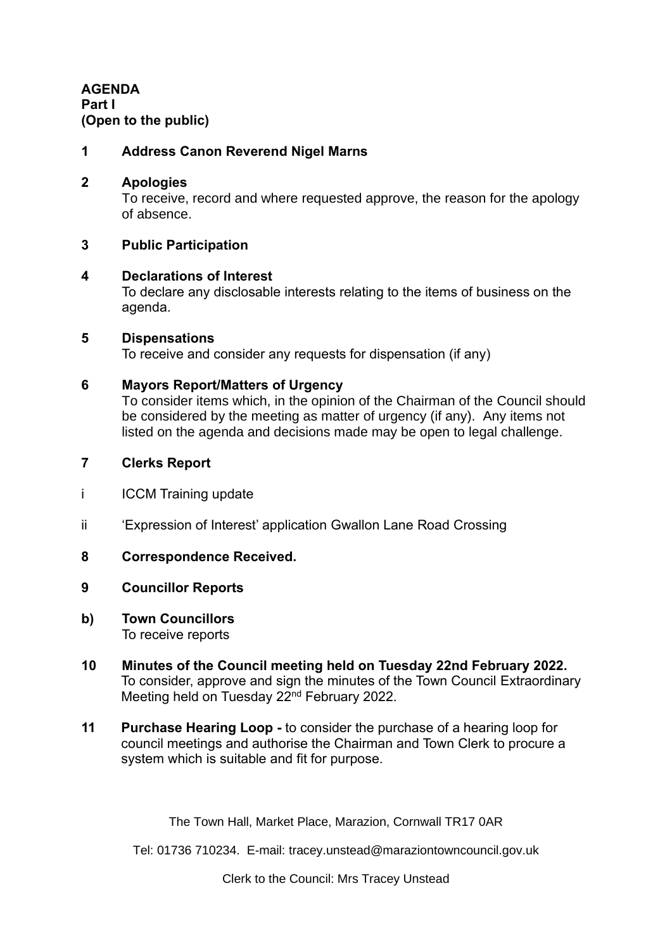**AGENDA Part I (Open to the public)**

### **1 Address Canon Reverend Nigel Marns**

### **2 Apologies**

To receive, record and where requested approve, the reason for the apology of absence.

### **3 Public Participation**

#### **4 Declarations of Interest**

To declare any disclosable interests relating to the items of business on the agenda.

#### **5 Dispensations**

To receive and consider any requests for dispensation (if any)

### **6 Mayors Report/Matters of Urgency**

To consider items which, in the opinion of the Chairman of the Council should be considered by the meeting as matter of urgency (if any). Any items not listed on the agenda and decisions made may be open to legal challenge.

### **7 Clerks Report**

- i ICCM Training update
- ii 'Expression of Interest' application Gwallon Lane Road Crossing

### **8 Correspondence Received.**

### **9 Councillor Reports**

- **b) Town Councillors** To receive reports
- **10 Minutes of the Council meeting held on Tuesday 22nd February 2022.** To consider, approve and sign the minutes of the Town Council Extraordinary Meeting held on Tuesday 22<sup>nd</sup> February 2022.
- **11 Purchase Hearing Loop -** to consider the purchase of a hearing loop for council meetings and authorise the Chairman and Town Clerk to procure a system which is suitable and fit for purpose.

The Town Hall, Market Place, Marazion, Cornwall TR17 0AR

Tel: 01736 710234. E-mail: tracey.unstead@maraziontowncouncil.gov.uk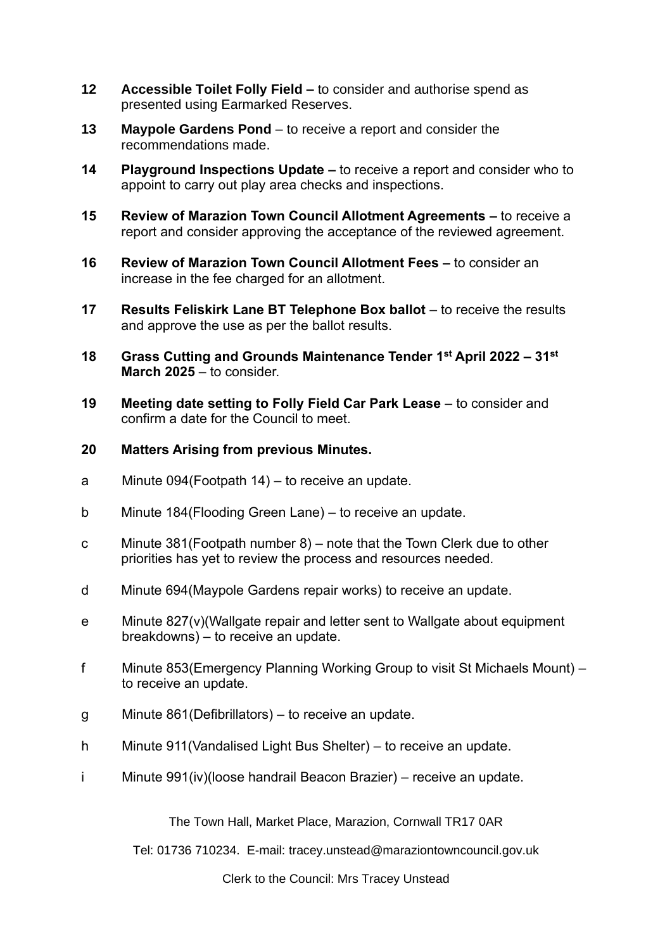- **12 Accessible Toilet Folly Field –** to consider and authorise spend as presented using Earmarked Reserves.
- **13 Maypole Gardens Pond** to receive a report and consider the recommendations made.
- **14 Playground Inspections Update –** to receive a report and consider who to appoint to carry out play area checks and inspections.
- **15 Review of Marazion Town Council Allotment Agreements –** to receive a report and consider approving the acceptance of the reviewed agreement.
- **16 Review of Marazion Town Council Allotment Fees –** to consider an increase in the fee charged for an allotment.
- **17 Results Feliskirk Lane BT Telephone Box ballot** to receive the results and approve the use as per the ballot results.
- **18 Grass Cutting and Grounds Maintenance Tender 1 st April 2022 – 31st March 2025** – to consider.
- **19 Meeting date setting to Folly Field Car Park Lease** to consider and confirm a date for the Council to meet.
- **20 Matters Arising from previous Minutes.**
- a Minute 094(Footpath 14) to receive an update.
- b Minute 184(Flooding Green Lane) to receive an update.
- c Minute 381(Footpath number 8) note that the Town Clerk due to other priorities has yet to review the process and resources needed*.*
- d Minute 694(Maypole Gardens repair works) to receive an update.
- e Minute 827(v)(Wallgate repair and letter sent to Wallgate about equipment breakdowns) – to receive an update.
- f Minute 853(Emergency Planning Working Group to visit St Michaels Mount) to receive an update.
- g Minute 861(Defibrillators) to receive an update.
- h Minute 911(Vandalised Light Bus Shelter) to receive an update.
- i Minute 991(iv)(loose handrail Beacon Brazier) receive an update.

The Town Hall, Market Place, Marazion, Cornwall TR17 0AR

Tel: 01736 710234. E-mail: tracey.unstead@maraziontowncouncil.gov.uk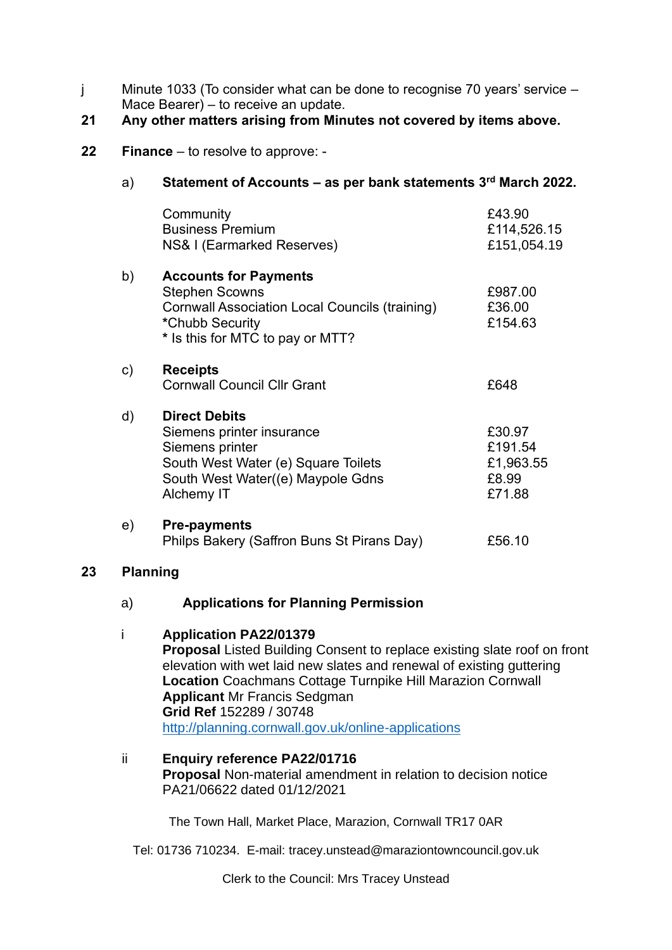j Minute 1033 (To consider what can be done to recognise 70 years' service – Mace Bearer) – to receive an update.

# **21 Any other matters arising from Minutes not covered by items above.**

## **22 Finance** – to resolve to approve: -

# a) **Statement of Accounts – as per bank statements 3 rd March 2022.**

|    | Community<br><b>Business Premium</b><br>NS& I (Earmarked Reserves)                                                                                             | £43.90<br>£114,526.15<br>£151,054.19              |
|----|----------------------------------------------------------------------------------------------------------------------------------------------------------------|---------------------------------------------------|
| b) | <b>Accounts for Payments</b><br><b>Stephen Scowns</b><br>Cornwall Association Local Councils (training)<br>*Chubb Security<br>* Is this for MTC to pay or MTT? | £987.00<br>£36.00<br>£154.63                      |
| c) | <b>Receipts</b><br><b>Cornwall Council Cllr Grant</b>                                                                                                          | £648                                              |
| d) | <b>Direct Debits</b><br>Siemens printer insurance<br>Siemens printer<br>South West Water (e) Square Toilets<br>South West Water((e) Maypole Gdns<br>Alchemy IT | £30.97<br>£191.54<br>£1,963.55<br>£8.99<br>£71.88 |
| e) | <b>Pre-payments</b><br>Philps Bakery (Saffron Buns St Pirans Day)                                                                                              | £56.10                                            |

### **23 Planning**

### a) **Applications for Planning Permission**

### i **Application PA22/01379**

**Proposal** Listed Building Consent to replace existing slate roof on front elevation with wet laid new slates and renewal of existing guttering **Location** Coachmans Cottage Turnpike Hill Marazion Cornwall **Applicant** Mr Francis Sedgman **Grid Ref** 152289 / 30748 <http://planning.cornwall.gov.uk/online-applications>

The Town Hall, Market Place, Marazion, Cornwall TR17 0AR

Tel: 01736 710234. E-mail: tracey.unstead@maraziontowncouncil.gov.uk

ii **Enquiry reference PA22/01716 Proposal** Non-material amendment in relation to decision notice PA21/06622 dated 01/12/2021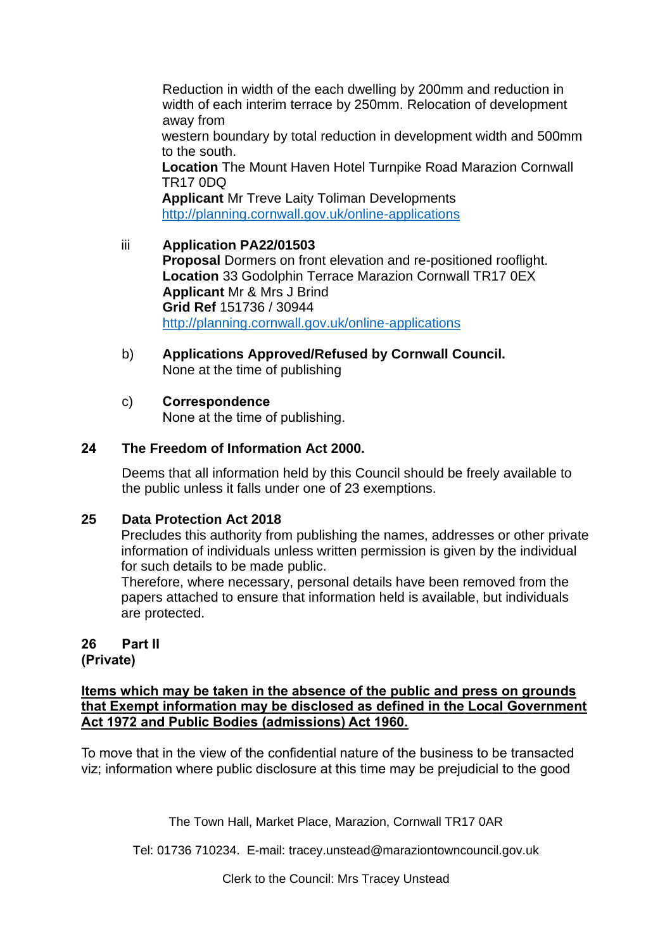Reduction in width of the each dwelling by 200mm and reduction in width of each interim terrace by 250mm. Relocation of development away from western boundary by total reduction in development width and 500mm to the south. **Location** The Mount Haven Hotel Turnpike Road Marazion Cornwall TR17 0DQ **Applicant** Mr Treve Laity Toliman Developments

<http://planning.cornwall.gov.uk/online-applications>

# iii **Application PA22/01503**

**Proposal** Dormers on front elevation and re-positioned rooflight. **Location** 33 Godolphin Terrace Marazion Cornwall TR17 0EX **Applicant** Mr & Mrs J Brind **Grid Ref** 151736 / 30944 <http://planning.cornwall.gov.uk/online-applications>

b) **Applications Approved/Refused by Cornwall Council.** None at the time of publishing

### c) **Correspondence**

None at the time of publishing.

# **24 The Freedom of Information Act 2000.**

Deems that all information held by this Council should be freely available to the public unless it falls under one of 23 exemptions.

### **25 Data Protection Act 2018**

Precludes this authority from publishing the names, addresses or other private information of individuals unless written permission is given by the individual for such details to be made public.

Therefore, where necessary, personal details have been removed from the papers attached to ensure that information held is available, but individuals are protected.

# **26 Part II**

**(Private)**

**Items which may be taken in the absence of the public and press on grounds that Exempt information may be disclosed as defined in the Local Government Act 1972 and Public Bodies (admissions) Act 1960.**

To move that in the view of the confidential nature of the business to be transacted viz; information where public disclosure at this time may be prejudicial to the good

The Town Hall, Market Place, Marazion, Cornwall TR17 0AR

Tel: 01736 710234. E-mail: tracey.unstead@maraziontowncouncil.gov.uk